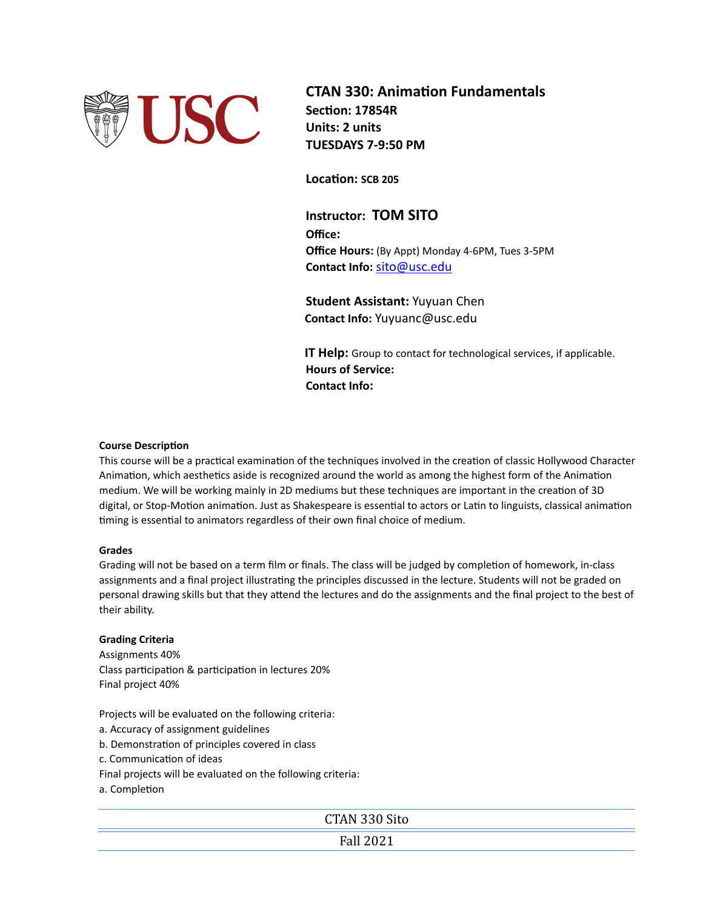

**CTAN 330: Animation Fundamentals Section: 17854R Units: 2 units TUESDAYS 7-9:50 PM** 

**Location: SCB 205**

**Instructor: TOM SITO Office: Office Hours:** (By Appt) Monday 4-6PM, Tues 3-5PM **Contact Info:** [sito@usc.edu](mailto:sito@usc.edu)

**Student Assistant:** Yuyuan Chen  **Contact Info:** Yuyuanc@usc.edu

**IT Help:** Group to contact for technological services, if applicable. **Hours of Service: Contact Info:** 

## **Course Description**

This course will be a practical examination of the techniques involved in the creation of classic Hollywood Character Animation, which aesthetics aside is recognized around the world as among the highest form of the Animation medium. We will be working mainly in 2D mediums but these techniques are important in the creation of 3D digital, or Stop-Motion animation. Just as Shakespeare is essential to actors or Latin to linguists, classical animation timing is essential to animators regardless of their own final choice of medium.

# **Grades**

Grading will not be based on a term film or finals. The class will be judged by completion of homework, in-class assignments and a final project illustrating the principles discussed in the lecture. Students will not be graded on personal drawing skills but that they attend the lectures and do the assignments and the final project to the best of their ability.

# **Grading Criteria**

Assignments 40% Class participation & participation in lectures 20% Final project 40%

Projects will be evaluated on the following criteria:

- a. Accuracy of assignment guidelines
- b. Demonstration of principles covered in class
- c. Communication of ideas
- Final projects will be evaluated on the following criteria:
- a. Completion

CTAN 330 Sito

Fall 2021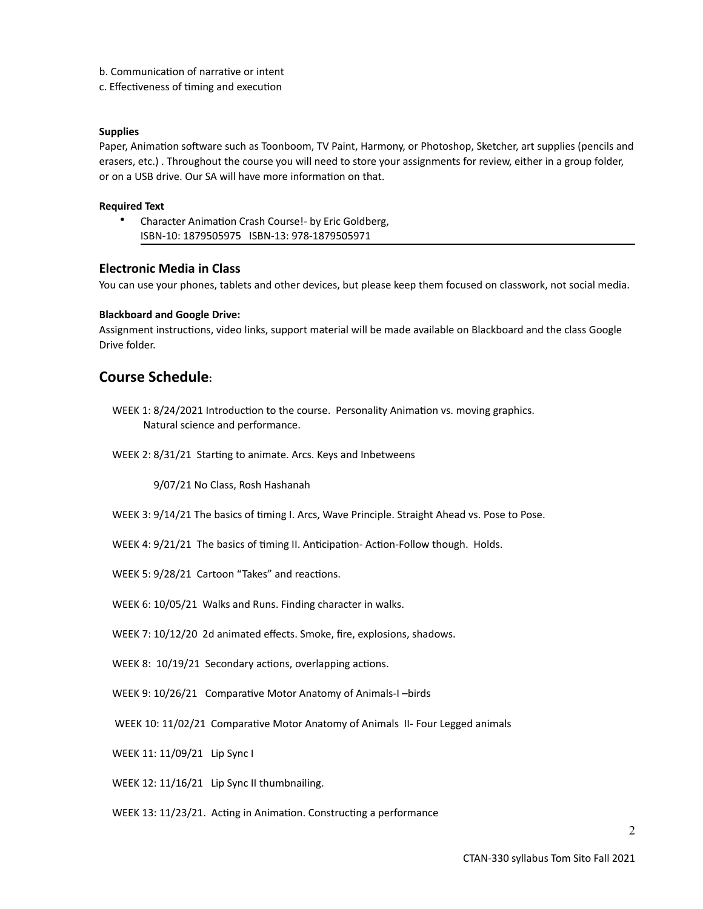- b. Communication of narrative or intent
- c. Effectiveness of timing and execution

#### **Supplies**

Paper, Animation software such as Toonboom, TV Paint, Harmony, or Photoshop, Sketcher, art supplies (pencils and erasers, etc.) . Throughout the course you will need to store your assignments for review, either in a group folder, or on a USB drive. Our SA will have more information on that.

## **Required Text**

• Character Animation Crash Course!- by Eric Goldberg, ISBN-10: 1879505975 ISBN-13: 978-1879505971

# **Electronic Media in Class**

You can use your phones, tablets and other devices, but please keep them focused on classwork, not social media.

## **Blackboard and Google Drive:**

Assignment instructions, video links, support material will be made available on Blackboard and the class Google Drive folder.

# **Course Schedule:**

- WEEK 1: 8/24/2021 Introduction to the course. Personality Animation vs. moving graphics. Natural science and performance.
- WEEK 2: 8/31/21 Starting to animate. Arcs. Keys and Inbetweens

9/07/21 No Class, Rosh Hashanah

- WEEK 3: 9/14/21 The basics of timing I. Arcs, Wave Principle. Straight Ahead vs. Pose to Pose.
- WEEK 4: 9/21/21 The basics of timing II. Anticipation- Action-Follow though. Holds.
- WEEK 5: 9/28/21 Cartoon "Takes" and reactions.
- WEEK 6: 10/05/21 Walks and Runs. Finding character in walks.

WEEK 7: 10/12/20 2d animated effects. Smoke, fire, explosions, shadows.

- WEEK 8: 10/19/21 Secondary actions, overlapping actions.
- WEEK 9: 10/26/21 Comparative Motor Anatomy of Animals-I –birds
- WEEK 10: 11/02/21 Comparative Motor Anatomy of Animals II- Four Legged animals
- WEEK 11: 11/09/21 Lip Sync I
- WEEK 12: 11/16/21 Lip Sync II thumbnailing.
- WEEK 13: 11/23/21. Acting in Animation. Constructing a performance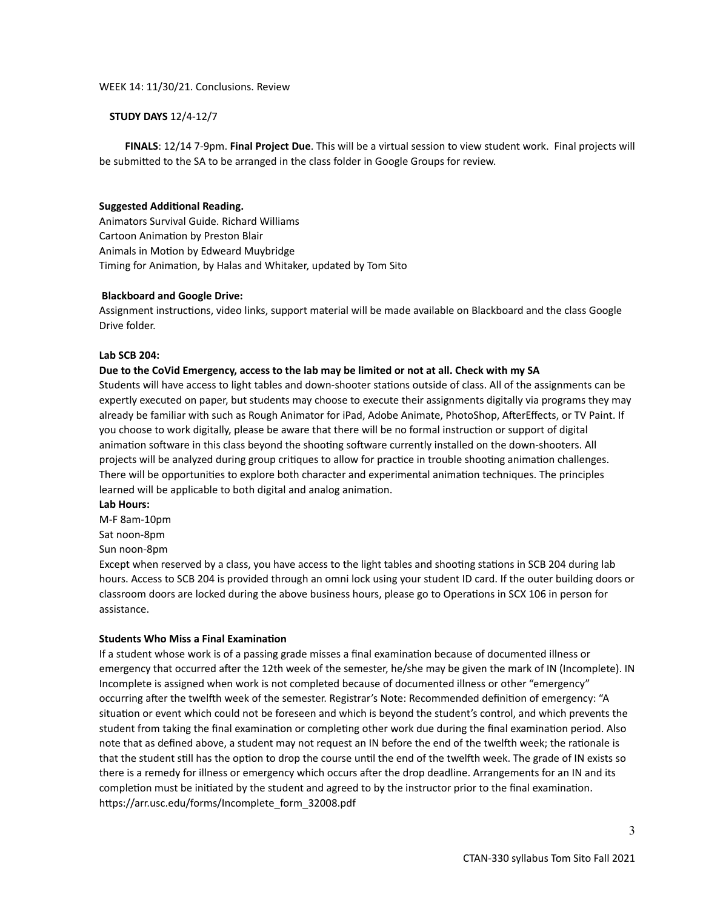#### **STUDY DAYS** 12/4-12/7

 **FINALS**: 12/14 7-9pm. **Final Project Due**. This will be a virtual session to view student work. Final projects will be submitted to the SA to be arranged in the class folder in Google Groups for review.

#### **Suggested Additional Reading.**

Animators Survival Guide. Richard Williams Cartoon Animation by Preston Blair Animals in Motion by Edweard Muybridge Timing for Animation, by Halas and Whitaker, updated by Tom Sito

#### **Blackboard and Google Drive:**

Assignment instructions, video links, support material will be made available on Blackboard and the class Google Drive folder.

#### **Lab SCB 204:**

#### **Due to the CoVid Emergency, access to the lab may be limited or not at all. Check with my SA**

Students will have access to light tables and down-shooter stations outside of class. All of the assignments can be expertly executed on paper, but students may choose to execute their assignments digitally via programs they may already be familiar with such as Rough Animator for iPad, Adobe Animate, PhotoShop, AfterEffects, or TV Paint. If you choose to work digitally, please be aware that there will be no formal instruction or support of digital animation software in this class beyond the shooting software currently installed on the down-shooters. All projects will be analyzed during group critiques to allow for practice in trouble shooting animation challenges. There will be opportunities to explore both character and experimental animation techniques. The principles learned will be applicable to both digital and analog animation.

#### **Lab Hours:**

M-F 8am-10pm

Sat noon-8pm

Sun noon-8pm

Except when reserved by a class, you have access to the light tables and shooting stations in SCB 204 during lab hours. Access to SCB 204 is provided through an omni lock using your student ID card. If the outer building doors or classroom doors are locked during the above business hours, please go to Operations in SCX 106 in person for assistance.

#### **Students Who Miss a Final Examination**

If a student whose work is of a passing grade misses a final examination because of documented illness or emergency that occurred after the 12th week of the semester, he/she may be given the mark of IN (Incomplete). IN Incomplete is assigned when work is not completed because of documented illness or other "emergency" occurring after the twelfth week of the semester. Registrar's Note: Recommended definition of emergency: "A situation or event which could not be foreseen and which is beyond the student's control, and which prevents the student from taking the final examination or completing other work due during the final examination period. Also note that as defined above, a student may not request an IN before the end of the twelfth week; the rationale is that the student still has the option to drop the course until the end of the twelfth week. The grade of IN exists so there is a remedy for illness or emergency which occurs after the drop deadline. Arrangements for an IN and its completion must be initiated by the student and agreed to by the instructor prior to the final examination. https://arr.usc.edu/forms/Incomplete\_form\_32008.pdf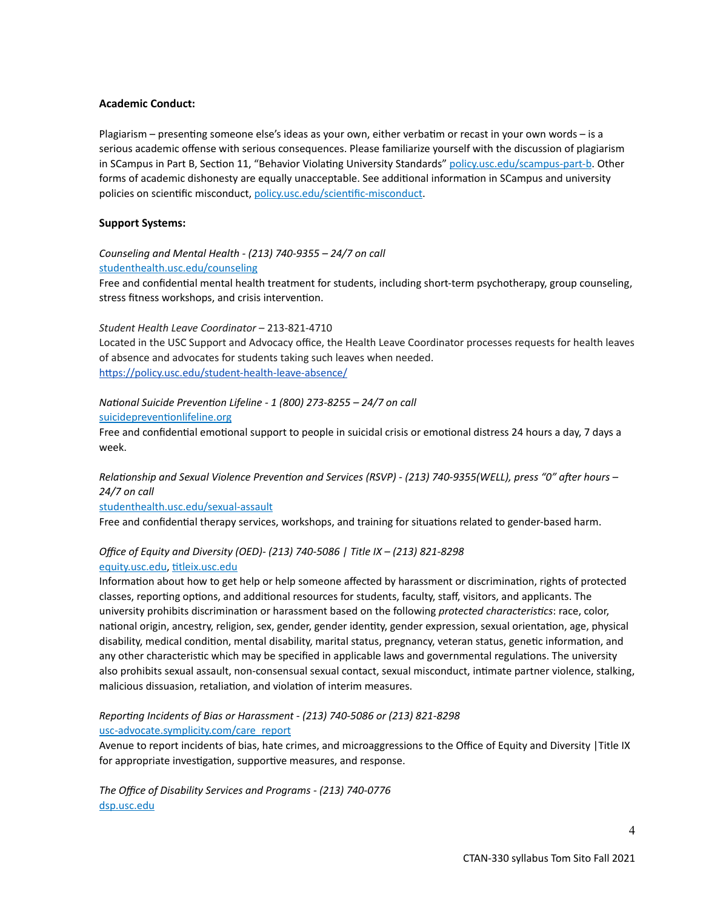# **Academic Conduct:**

Plagiarism – presenting someone else's ideas as your own, either verbatim or recast in your own words – is a serious academic offense with serious consequences. Please familiarize yourself with the discussion of plagiarism in SCampus in Part B, Section 11, "Behavior Violating University Standards" [policy.usc.edu/scampus-part-b.](https://policy.usc.edu/scampus-part-b/) Other forms of academic dishonesty are equally unacceptable. See additional information in SCampus and university policies on scientific misconduct, [policy.usc.edu/scientific-misconduct](http://policy.usc.edu/scientific-misconduct).

# **Support Systems:**

*Counseling and Mental Health - (213) 740-9355 – 24/7 on call* [studenthealth.usc.edu/counseling](https://studenthealth.usc.edu/counseling/)

Free and confidential mental health treatment for students, including short-term psychotherapy, group counseling, stress fitness workshops, and crisis intervention.

#### *Student Health Leave Coordinator* – 213-821-4710

Located in the USC Support and Advocacy office, the Health Leave Coordinator processes requests for health leaves of absence and advocates for students taking such leaves when needed. <https://policy.usc.edu/student-health-leave-absence/>

#### *National Suicide Prevention Lifeline - 1 (800) 273-8255 – 24/7 on call*

[suicidepreventionlifeline.org](http://www.suicidepreventionlifeline.org/)

Free and confidential emotional support to people in suicidal crisis or emotional distress 24 hours a day, 7 days a week.

*Relationship and Sexual Violence Prevention and Services (RSVP) - (213) 740-9355(WELL), press "0" after hours – 24/7 on call*

[studenthealth.usc.edu/sexual-assault](https://studenthealth.usc.edu/sexual-assault/)

Free and confidential therapy services, workshops, and training for situations related to gender-based harm.

# *Office of Equity and Diversity (OED)- (213) 740-5086 | Title IX – (213) 821-8298*

#### [equity.usc.edu](https://equity.usc.edu/), [titleix.usc.edu](http://titleix.usc.edu)

Information about how to get help or help someone affected by harassment or discrimination, rights of protected classes, reporting options, and additional resources for students, faculty, staff, visitors, and applicants. The university prohibits discrimination or harassment based on the following *protected characteristics*: race, color, national origin, ancestry, religion, sex, gender, gender identity, gender expression, sexual orientation, age, physical disability, medical condition, mental disability, marital status, pregnancy, veteran status, genetic information, and any other characteristic which may be specified in applicable laws and governmental regulations. The university also prohibits sexual assault, non-consensual sexual contact, sexual misconduct, intimate partner violence, stalking, malicious dissuasion, retaliation, and violation of interim measures.

# *Reporting Incidents of Bias or Harassment - (213) 740-5086 or (213) 821-8298* [usc-advocate.symplicity.com/care\\_report](https://usc-advocate.symplicity.com/care_report/)

Avenue to report incidents of bias, hate crimes, and microaggressions to the Office of Equity and Diversity |Title IX for appropriate investigation, supportive measures, and response.

*The Office of Disability Services and Programs - (213) 740-0776* [dsp.usc.edu](http://dsp.usc.edu/)